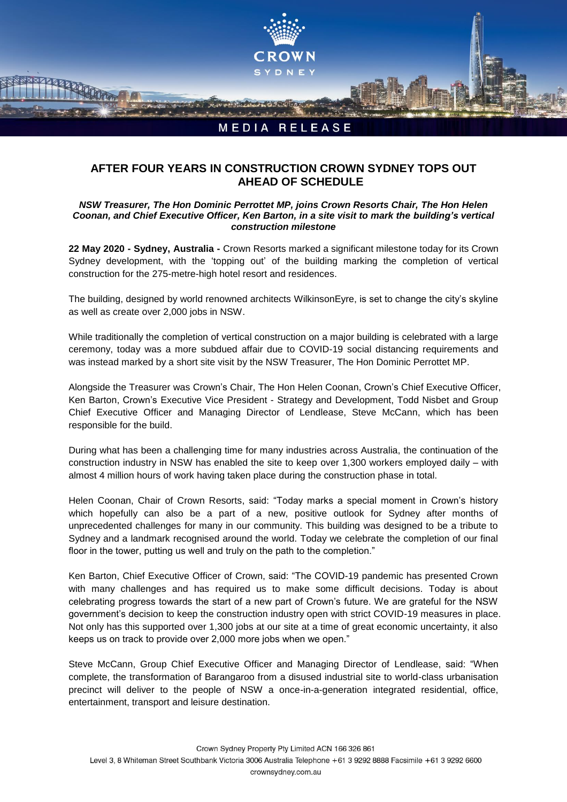

## **AFTER FOUR YEARS IN CONSTRUCTION CROWN SYDNEY TOPS OUT AHEAD OF SCHEDULE**

## *NSW Treasurer, The Hon Dominic Perrottet MP, joins Crown Resorts Chair, The Hon Helen Coonan, and Chief Executive Officer, Ken Barton, in a site visit to mark the building's vertical construction milestone*

**22 May 2020 - Sydney, Australia -** Crown Resorts marked a significant milestone today for its Crown Sydney development, with the 'topping out' of the building marking the completion of vertical construction for the 275-metre-high hotel resort and residences.

The building, designed by world renowned architects WilkinsonEyre, is set to change the city's skyline as well as create over 2,000 jobs in NSW.

While traditionally the completion of vertical construction on a major building is celebrated with a large ceremony, today was a more subdued affair due to COVID-19 social distancing requirements and was instead marked by a short site visit by the NSW Treasurer, The Hon Dominic Perrottet MP.

Alongside the Treasurer was Crown's Chair, The Hon Helen Coonan, Crown's Chief Executive Officer, Ken Barton, Crown's Executive Vice President - Strategy and Development, Todd Nisbet and Group Chief Executive Officer and Managing Director of Lendlease, Steve McCann, which has been responsible for the build.

During what has been a challenging time for many industries across Australia, the continuation of the construction industry in NSW has enabled the site to keep over 1,300 workers employed daily – with almost 4 million hours of work having taken place during the construction phase in total.

Helen Coonan, Chair of Crown Resorts, said: "Today marks a special moment in Crown's history which hopefully can also be a part of a new, positive outlook for Sydney after months of unprecedented challenges for many in our community. This building was designed to be a tribute to Sydney and a landmark recognised around the world. Today we celebrate the completion of our final floor in the tower, putting us well and truly on the path to the completion."

Ken Barton, Chief Executive Officer of Crown, said: "The COVID-19 pandemic has presented Crown with many challenges and has required us to make some difficult decisions. Today is about celebrating progress towards the start of a new part of Crown's future. We are grateful for the NSW government's decision to keep the construction industry open with strict COVID-19 measures in place. Not only has this supported over 1,300 jobs at our site at a time of great economic uncertainty, it also keeps us on track to provide over 2,000 more jobs when we open."

Steve McCann, Group Chief Executive Officer and Managing Director of Lendlease, said: "When complete, the transformation of Barangaroo from a disused industrial site to world-class urbanisation precinct will deliver to the people of NSW a once-in-a-generation integrated residential, office, entertainment, transport and leisure destination.